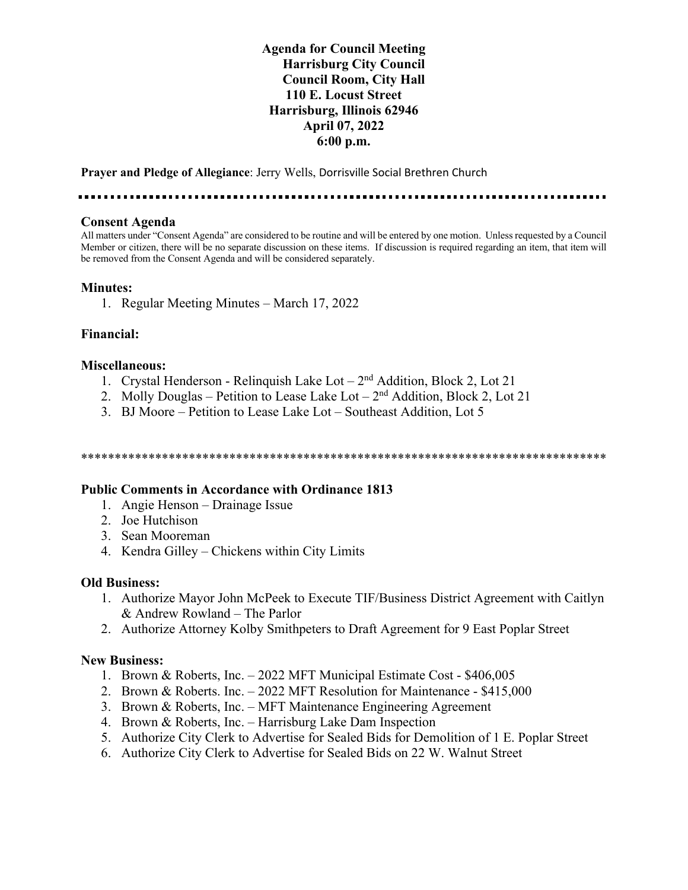## **Agenda for Council Meeting Harrisburg City Council Council Room, City Hall 110 E. Locust Street Harrisburg, Illinois 62946 April 07, 2022 6:00 p.m.**

**Prayer and Pledge of Allegiance**: Jerry Wells, Dorrisville Social Brethren Church

. . . . . . . . . .

#### **Consent Agenda**

All matters under "Consent Agenda" are considered to be routine and will be entered by one motion. Unless requested by a Council Member or citizen, there will be no separate discussion on these items. If discussion is required regarding an item, that item will be removed from the Consent Agenda and will be considered separately.

## **Minutes:**

1. Regular Meeting Minutes – March 17, 2022

### **Financial:**

### **Miscellaneous:**

- 1. Crystal Henderson Relinquish Lake Lot  $-2<sup>nd</sup>$  Addition, Block 2, Lot 21
- 2. Molly Douglas Petition to Lease Lake Lot  $2<sup>nd</sup>$  Addition, Block 2, Lot 21
- 3. BJ Moore Petition to Lease Lake Lot Southeast Addition, Lot 5

\*\*\*\*\*\*\*\*\*\*\*\*\*\*\*\*\*\*\*\*\*\*\*\*\*\*\*\*\*\*\*\*\*\*\*\*\*\*\*\*\*\*\*\*\*\*\*\*\*\*\*\*\*\*\*\*\*\*\*\*\*\*\*\*\*\*\*\*\*\*\*\*\*\*\*\*\*\*

### **Public Comments in Accordance with Ordinance 1813**

- 1. Angie Henson Drainage Issue
- 2. Joe Hutchison
- 3. Sean Mooreman
- 4. Kendra Gilley Chickens within City Limits

### **Old Business:**

- 1. Authorize Mayor John McPeek to Execute TIF/Business District Agreement with Caitlyn & Andrew Rowland – The Parlor
- 2. Authorize Attorney Kolby Smithpeters to Draft Agreement for 9 East Poplar Street

### **New Business:**

- 1. Brown & Roberts, Inc. 2022 MFT Municipal Estimate Cost \$406,005
- 2. Brown & Roberts. Inc. 2022 MFT Resolution for Maintenance \$415,000
- 3. Brown & Roberts, Inc. MFT Maintenance Engineering Agreement
- 4. Brown & Roberts, Inc. Harrisburg Lake Dam Inspection
- 5. Authorize City Clerk to Advertise for Sealed Bids for Demolition of 1 E. Poplar Street
- 6. Authorize City Clerk to Advertise for Sealed Bids on 22 W. Walnut Street